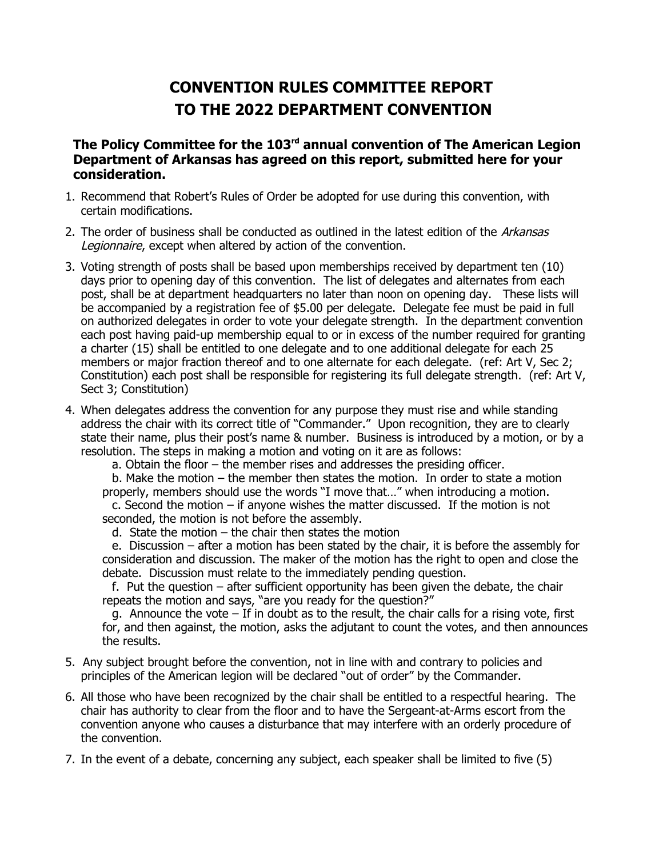## **CONVENTION RULES COMMITTEE REPORT TO THE 2022 DEPARTMENT CONVENTION**

**The Policy Committee for the 103rd annual convention of The American Legion Department of Arkansas has agreed on this report, submitted here for your consideration.**

- 1. Recommend that Robert's Rules of Order be adopted for use during this convention, with certain modifications.
- 2. The order of business shall be conducted as outlined in the latest edition of the Arkansas Legionnaire, except when altered by action of the convention.
- 3. Voting strength of posts shall be based upon memberships received by department ten (10) days prior to opening day of this convention. The list of delegates and alternates from each post, shall be at department headquarters no later than noon on opening day. These lists will be accompanied by a registration fee of \$5.00 per delegate. Delegate fee must be paid in full on authorized delegates in order to vote your delegate strength. In the department convention each post having paid-up membership equal to or in excess of the number required for granting a charter (15) shall be entitled to one delegate and to one additional delegate for each 25 members or major fraction thereof and to one alternate for each delegate. (ref: Art V, Sec 2; Constitution) each post shall be responsible for registering its full delegate strength. (ref: Art V, Sect 3; Constitution)
- 4. When delegates address the convention for any purpose they must rise and while standing address the chair with its correct title of "Commander." Upon recognition, they are to clearly state their name, plus their post's name & number. Business is introduced by a motion, or by a resolution. The steps in making a motion and voting on it are as follows:

a. Obtain the floor – the member rises and addresses the presiding officer.

b. Make the motion – the member then states the motion. In order to state a motion properly, members should use the words "I move that…" when introducing a motion.

c. Second the motion – if anyone wishes the matter discussed. If the motion is not seconded, the motion is not before the assembly.

d. State the motion  $-$  the chair then states the motion

e. Discussion – after a motion has been stated by the chair, it is before the assembly for consideration and discussion. The maker of the motion has the right to open and close the debate. Discussion must relate to the immediately pending question.

f. Put the question – after sufficient opportunity has been given the debate, the chair repeats the motion and says, "are you ready for the question?"

g. Announce the vote – If in doubt as to the result, the chair calls for a rising vote, first for, and then against, the motion, asks the adjutant to count the votes, and then announces the results.

- 5. Any subject brought before the convention, not in line with and contrary to policies and principles of the American legion will be declared "out of order" by the Commander.
- 6. All those who have been recognized by the chair shall be entitled to a respectful hearing. The chair has authority to clear from the floor and to have the Sergeant-at-Arms escort from the convention anyone who causes a disturbance that may interfere with an orderly procedure of the convention.
- 7. In the event of a debate, concerning any subject, each speaker shall be limited to five (5)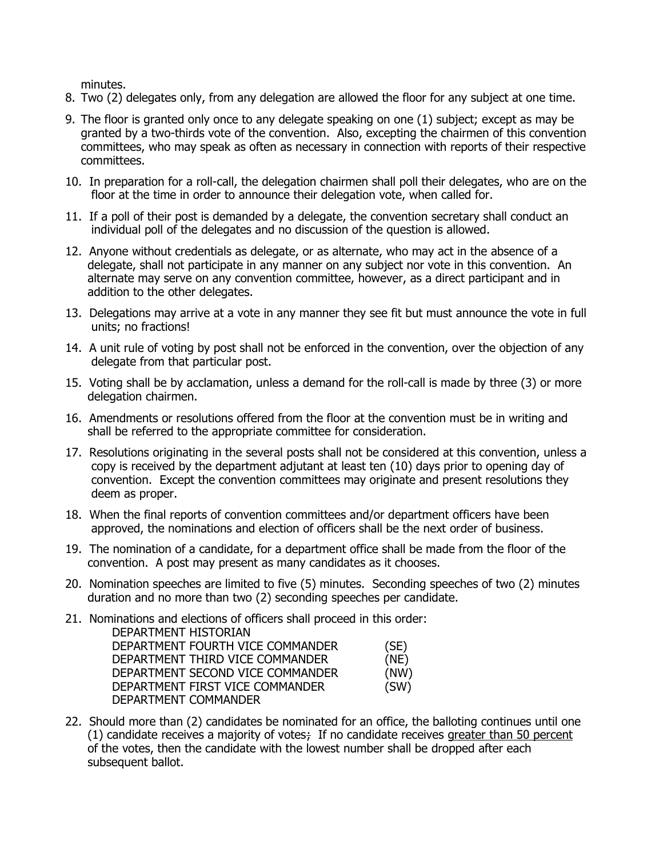minutes.

- 8. Two (2) delegates only, from any delegation are allowed the floor for any subject at one time.
- 9. The floor is granted only once to any delegate speaking on one (1) subject; except as may be granted by a two-thirds vote of the convention. Also, excepting the chairmen of this convention committees, who may speak as often as necessary in connection with reports of their respective committees.
- 10. In preparation for a roll-call, the delegation chairmen shall poll their delegates, who are on the floor at the time in order to announce their delegation vote, when called for.
- 11. If a poll of their post is demanded by a delegate, the convention secretary shall conduct an individual poll of the delegates and no discussion of the question is allowed.
- 12. Anyone without credentials as delegate, or as alternate, who may act in the absence of a delegate, shall not participate in any manner on any subject nor vote in this convention. An alternate may serve on any convention committee, however, as a direct participant and in addition to the other delegates.
- 13. Delegations may arrive at a vote in any manner they see fit but must announce the vote in full units; no fractions!
- 14. A unit rule of voting by post shall not be enforced in the convention, over the objection of any delegate from that particular post.
- 15. Voting shall be by acclamation, unless a demand for the roll-call is made by three (3) or more delegation chairmen.
- 16. Amendments or resolutions offered from the floor at the convention must be in writing and shall be referred to the appropriate committee for consideration.
- 17. Resolutions originating in the several posts shall not be considered at this convention, unless a copy is received by the department adjutant at least ten (10) days prior to opening day of convention. Except the convention committees may originate and present resolutions they deem as proper.
- 18. When the final reports of convention committees and/or department officers have been approved, the nominations and election of officers shall be the next order of business.
- 19. The nomination of a candidate, for a department office shall be made from the floor of the convention. A post may present as many candidates as it chooses.
- 20. Nomination speeches are limited to five (5) minutes. Seconding speeches of two (2) minutes duration and no more than two (2) seconding speeches per candidate.
- 21. Nominations and elections of officers shall proceed in this order: DEPARTMENT HISTORIAN DEPARTMENT FOURTH VICE COMMANDER (SE) DEPARTMENT THIRD VICE COMMANDER (NE) DEPARTMENT SECOND VICE COMMANDER (NW) DEPARTMENT FIRST VICE COMMANDER (SW) DEPARTMENT COMMANDER
- 22. Should more than (2) candidates be nominated for an office, the balloting continues until one  $(1)$  candidate receives a majority of votes; If no candidate receives greater than 50 percent of the votes, then the candidate with the lowest number shall be dropped after each subsequent ballot.